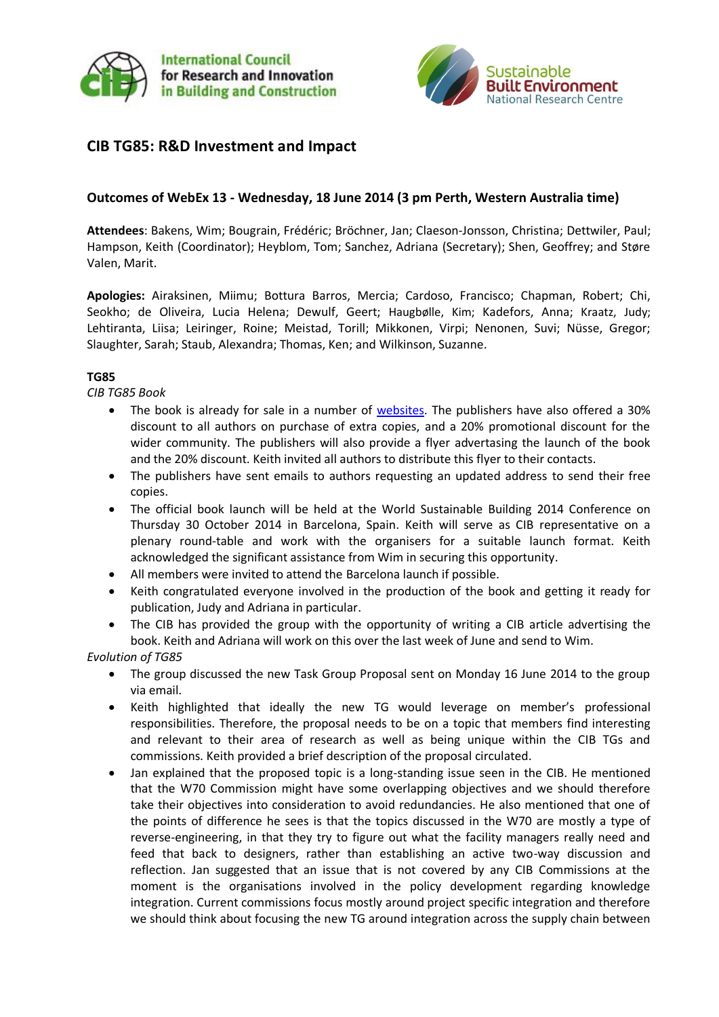



# **CIB TG85: R&D Investment and Impact**

## **Outcomes of WebEx 13 - Wednesday, 18 June 2014 (3 pm Perth, Western Australia time)**

**Attendees**: Bakens, Wim; Bougrain, Frédéric; Bröchner, Jan; Claeson-Jonsson, Christina; Dettwiler, Paul; Hampson, Keith (Coordinator); Heyblom, Tom; Sanchez, Adriana (Secretary); Shen, Geoffrey; and Støre Valen, Marit.

**Apologies:** Airaksinen, Miimu; Bottura Barros, Mercia; Cardoso, Francisco; Chapman, Robert; Chi, Seokho; de Oliveira, Lucia Helena; Dewulf, Geert; Haugbølle, Kim; Kadefors, Anna; Kraatz, Judy; Lehtiranta, Liisa; Leiringer, Roine; Meistad, Torill; Mikkonen, Virpi; Nenonen, Suvi; Nüsse, Gregor; Slaughter, Sarah; Staub, Alexandra; Thomas, Ken; and Wilkinson, Suzanne.

### **TG85**

*CIB TG85 Book*

- The book is already for sale in a number of [websites.](http://routledge-ny.com/books/details/9780415859134/) The publishers have also offered a 30% discount to all authors on purchase of extra copies, and a 20% promotional discount for the wider community. The publishers will also provide a flyer advertasing the launch of the book and the 20% discount. Keith invited all authors to distribute this flyer to their contacts.
- The publishers have sent emails to authors requesting an updated address to send their free copies.
- The official book launch will be held at the World Sustainable Building 2014 Conference on Thursday 30 October 2014 in Barcelona, Spain. Keith will serve as CIB representative on a plenary round-table and work with the organisers for a suitable launch format. Keith acknowledged the significant assistance from Wim in securing this opportunity.
- All members were invited to attend the Barcelona launch if possible.
- Keith congratulated everyone involved in the production of the book and getting it ready for publication, Judy and Adriana in particular.
- The CIB has provided the group with the opportunity of writing a CIB article advertising the book. Keith and Adriana will work on this over the last week of June and send to Wim.

### *Evolution of TG85*

- The group discussed the new Task Group Proposal sent on Monday 16 June 2014 to the group via email.
- Keith highlighted that ideally the new TG would leverage on member's professional responsibilities. Therefore, the proposal needs to be on a topic that members find interesting and relevant to their area of research as well as being unique within the CIB TGs and commissions. Keith provided a brief description of the proposal circulated.
- Jan explained that the proposed topic is a long-standing issue seen in the CIB. He mentioned that the W70 Commission might have some overlapping objectives and we should therefore take their objectives into consideration to avoid redundancies. He also mentioned that one of the points of difference he sees is that the topics discussed in the W70 are mostly a type of reverse-engineering, in that they try to figure out what the facility managers really need and feed that back to designers, rather than establishing an active two-way discussion and reflection. Jan suggested that an issue that is not covered by any CIB Commissions at the moment is the organisations involved in the policy development regarding knowledge integration. Current commissions focus mostly around project specific integration and therefore we should think about focusing the new TG around integration across the supply chain between